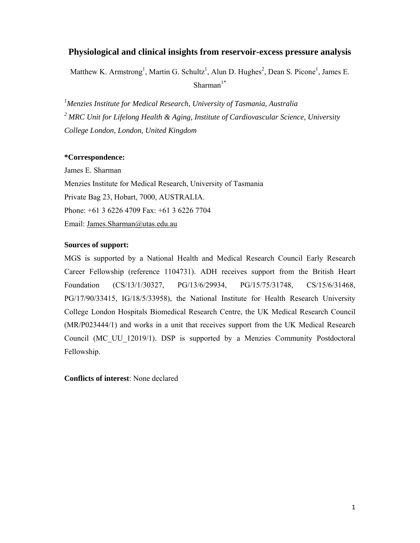# **Physiological and clinical insights from reservoir-excess pressure analysis**

Matthew K. Armstrong<sup>1</sup>, Martin G. Schultz<sup>1</sup>, Alun D. Hughes<sup>2</sup>, Dean S. Picone<sup>1</sup>, James E. Sharman $1^*$ 

*1 Menzies Institute for Medical Research, University of Tasmania, Australia <sup>2</sup> MRC Unit for Lifelong Health & Aging, Institute of Cardiovascular Science, University College London, London, United Kingdom* 

### **\*Correspondence:**

James E. Sharman Menzies Institute for Medical Research, University of Tasmania Private Bag 23, Hobart, 7000, AUSTRALIA. Phone: +61 3 6226 4709 Fax: +61 3 6226 7704 Email: James.Sharman@utas.edu.au

### **Sources of support:**

MGS is supported by a National Health and Medical Research Council Early Research Career Fellowship (reference 1104731). ADH receives support from the British Heart Foundation (CS/13/1/30327, PG/13/6/29934, PG/15/75/31748, CS/15/6/31468, PG/17/90/33415, IG/18/5/33958), the National Institute for Health Research University College London Hospitals Biomedical Research Centre, the UK Medical Research Council (MR/P023444/1) and works in a unit that receives support from the UK Medical Research Council (MC\_UU\_12019/1). DSP is supported by a Menzies Community Postdoctoral Fellowship.

**Conflicts of interest**: None declared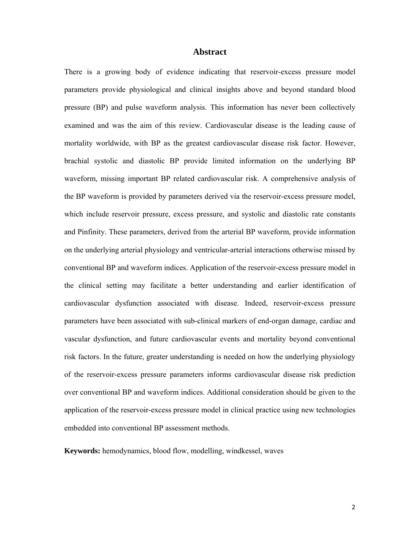#### **Abstract**

There is a growing body of evidence indicating that reservoir-excess pressure model parameters provide physiological and clinical insights above and beyond standard blood pressure (BP) and pulse waveform analysis. This information has never been collectively examined and was the aim of this review. Cardiovascular disease is the leading cause of mortality worldwide, with BP as the greatest cardiovascular disease risk factor. However, brachial systolic and diastolic BP provide limited information on the underlying BP waveform, missing important BP related cardiovascular risk. A comprehensive analysis of the BP waveform is provided by parameters derived via the reservoir-excess pressure model, which include reservoir pressure, excess pressure, and systolic and diastolic rate constants and Pinfinity. These parameters, derived from the arterial BP waveform, provide information on the underlying arterial physiology and ventricular-arterial interactions otherwise missed by conventional BP and waveform indices. Application of the reservoir-excess pressure model in the clinical setting may facilitate a better understanding and earlier identification of cardiovascular dysfunction associated with disease. Indeed, reservoir-excess pressure parameters have been associated with sub-clinical markers of end-organ damage, cardiac and vascular dysfunction, and future cardiovascular events and mortality beyond conventional risk factors. In the future, greater understanding is needed on how the underlying physiology of the reservoir-excess pressure parameters informs cardiovascular disease risk prediction over conventional BP and waveform indices. Additional consideration should be given to the application of the reservoir-excess pressure model in clinical practice using new technologies embedded into conventional BP assessment methods.

**Keywords:** hemodynamics, blood flow, modelling, windkessel, waves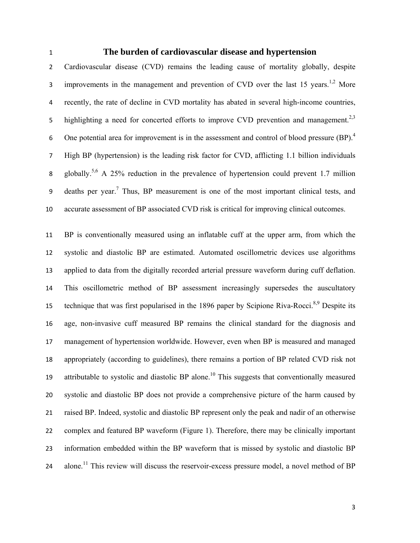## **The burden of cardiovascular disease and hypertension**

Cardiovascular disease (CVD) remains the leading cause of mortality globally, despite 3 improvements in the management and prevention of CVD over the last 15 years.<sup>1,2</sup> More recently, the rate of decline in CVD mortality has abated in several high-income countries, 5 highlighting a need for concerted efforts to improve CVD prevention and management.<sup>2,3</sup> 6 One potential area for improvement is in the assessment and control of blood pressure  $(BP)<sup>4</sup>$ High BP (hypertension) is the leading risk factor for CVD, afflicting 1.1 billion individuals globally.5,6 A 25% reduction in the prevalence of hypertension could prevent 1.7 million 9 deaths per year.<sup>7</sup> Thus, BP measurement is one of the most important clinical tests, and accurate assessment of BP associated CVD risk is critical for improving clinical outcomes.

BP is conventionally measured using an inflatable cuff at the upper arm, from which the systolic and diastolic BP are estimated. Automated oscillometric devices use algorithms applied to data from the digitally recorded arterial pressure waveform during cuff deflation. This oscillometric method of BP assessment increasingly supersedes the auscultatory technique that was first popularised in the 1896 paper by Scipione Riva-Rocci.<sup>8,9</sup> Despite its age, non-invasive cuff measured BP remains the clinical standard for the diagnosis and management of hypertension worldwide. However, even when BP is measured and managed appropriately (according to guidelines), there remains a portion of BP related CVD risk not 19 attributable to systolic and diastolic BP alone.<sup>10</sup> This suggests that conventionally measured systolic and diastolic BP does not provide a comprehensive picture of the harm caused by raised BP. Indeed, systolic and diastolic BP represent only the peak and nadir of an otherwise complex and featured BP waveform (Figure 1). Therefore, there may be clinically important information embedded within the BP waveform that is missed by systolic and diastolic BP 24 alone.<sup>11</sup> This review will discuss the reservoir-excess pressure model, a novel method of BP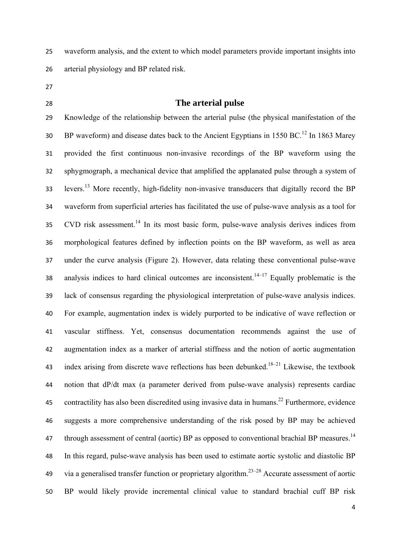waveform analysis, and the extent to which model parameters provide important insights into arterial physiology and BP related risk.

- 
- 

## **The arterial pulse**

Knowledge of the relationship between the arterial pulse (the physical manifestation of the  $B\text{P}$  waveform) and disease dates back to the Ancient Egyptians in 1550 BC.<sup>12</sup> In 1863 Marey provided the first continuous non-invasive recordings of the BP waveform using the sphygmograph, a mechanical device that amplified the applanated pulse through a system of 33 levers.<sup>13</sup> More recently, high-fidelity non-invasive transducers that digitally record the BP waveform from superficial arteries has facilitated the use of pulse-wave analysis as a tool for 35 CVD risk assessment.<sup>14</sup> In its most basic form, pulse-wave analysis derives indices from morphological features defined by inflection points on the BP waveform, as well as area under the curve analysis (Figure 2). However, data relating these conventional pulse-wave 38 analysis indices to hard clinical outcomes are inconsistent.<sup>14–17</sup> Equally problematic is the lack of consensus regarding the physiological interpretation of pulse-wave analysis indices. For example, augmentation index is widely purported to be indicative of wave reflection or vascular stiffness. Yet, consensus documentation recommends against the use of augmentation index as a marker of arterial stiffness and the notion of aortic augmentation 43 index arising from discrete wave reflections has been debunked.<sup>18–21</sup> Likewise, the textbook notion that dP/dt max (a parameter derived from pulse-wave analysis) represents cardiac 45 contractility has also been discredited using invasive data in humans.<sup>22</sup> Furthermore, evidence suggests a more comprehensive understanding of the risk posed by BP may be achieved 47 through assessment of central (aortic) BP as opposed to conventional brachial BP measures.<sup>14</sup> In this regard, pulse-wave analysis has been used to estimate aortic systolic and diastolic BP 49 via a generalised transfer function or proprietary algorithm.<sup>23–28</sup> Accurate assessment of aortic BP would likely provide incremental clinical value to standard brachial cuff BP risk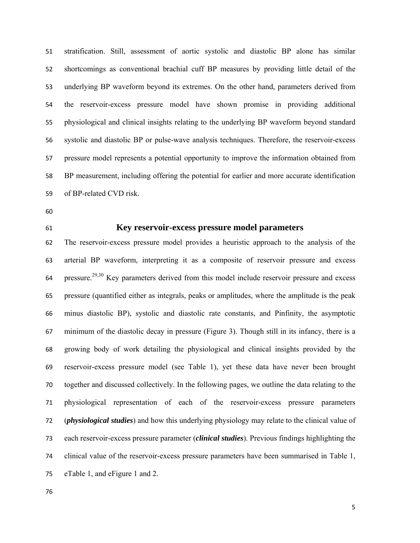stratification. Still, assessment of aortic systolic and diastolic BP alone has similar shortcomings as conventional brachial cuff BP measures by providing little detail of the underlying BP waveform beyond its extremes. On the other hand, parameters derived from the reservoir-excess pressure model have shown promise in providing additional physiological and clinical insights relating to the underlying BP waveform beyond standard systolic and diastolic BP or pulse-wave analysis techniques. Therefore, the reservoir-excess pressure model represents a potential opportunity to improve the information obtained from BP measurement, including offering the potential for earlier and more accurate identification of BP-related CVD risk.

- 
- 

## **Key reservoir-excess pressure model parameters**

The reservoir-excess pressure model provides a heuristic approach to the analysis of the arterial BP waveform, interpreting it as a composite of reservoir pressure and excess pressure.<sup>29,30</sup> Key parameters derived from this model include reservoir pressure and excess pressure (quantified either as integrals, peaks or amplitudes, where the amplitude is the peak minus diastolic BP), systolic and diastolic rate constants, and Pinfinity, the asymptotic minimum of the diastolic decay in pressure (Figure 3). Though still in its infancy, there is a growing body of work detailing the physiological and clinical insights provided by the reservoir-excess pressure model (see Table 1), yet these data have never been brought together and discussed collectively. In the following pages, we outline the data relating to the physiological representation of each of the reservoir-excess pressure parameters (*physiological studies*) and how this underlying physiology may relate to the clinical value of each reservoir-excess pressure parameter (*clinical studies*). Previous findings highlighting the clinical value of the reservoir-excess pressure parameters have been summarised in Table 1, eTable 1, and eFigure 1 and 2.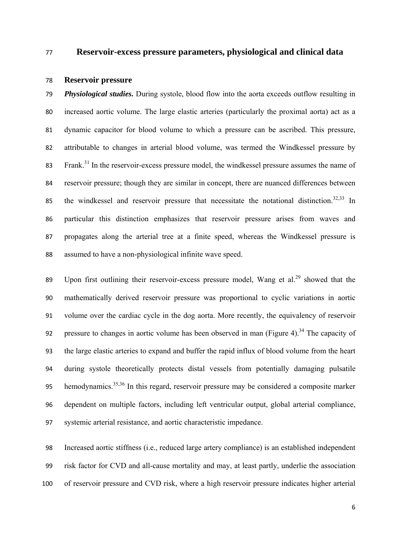#### **Reservoir-excess pressure parameters, physiological and clinical data**

#### **Reservoir pressure**

*Physiological studies.* During systole, blood flow into the aorta exceeds outflow resulting in increased aortic volume. The large elastic arteries (particularly the proximal aorta) act as a dynamic capacitor for blood volume to which a pressure can be ascribed. This pressure, attributable to changes in arterial blood volume, was termed the Windkessel pressure by 83 Frank.<sup>31</sup> In the reservoir-excess pressure model, the windkessel pressure assumes the name of reservoir pressure; though they are similar in concept, there are nuanced differences between 85 the windkessel and reservoir pressure that necessitate the notational distinction.<sup>32,33</sup> In particular this distinction emphasizes that reservoir pressure arises from waves and propagates along the arterial tree at a finite speed, whereas the Windkessel pressure is assumed to have a non-physiological infinite wave speed.

89 Upon first outlining their reservoir-excess pressure model, Wang et al.<sup>29</sup> showed that the mathematically derived reservoir pressure was proportional to cyclic variations in aortic volume over the cardiac cycle in the dog aorta. More recently, the equivalency of reservoir 92 pressure to changes in aortic volume has been observed in man (Figure 4).<sup>34</sup> The capacity of the large elastic arteries to expand and buffer the rapid influx of blood volume from the heart during systole theoretically protects distal vessels from potentially damaging pulsatile 95 hemodynamics.<sup>35,36</sup> In this regard, reservoir pressure may be considered a composite marker dependent on multiple factors, including left ventricular output, global arterial compliance, systemic arterial resistance, and aortic characteristic impedance.

Increased aortic stiffness (i.e., reduced large artery compliance) is an established independent risk factor for CVD and all-cause mortality and may, at least partly, underlie the association of reservoir pressure and CVD risk, where a high reservoir pressure indicates higher arterial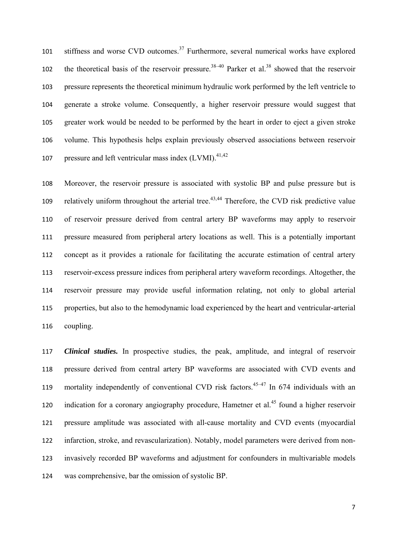101 stiffness and worse CVD outcomes.<sup>37</sup> Furthermore, several numerical works have explored the theoretical basis of the reservoir pressure.<sup>38–40</sup> Parker et al.<sup>38</sup> showed that the reservoir pressure represents the theoretical minimum hydraulic work performed by the left ventricle to generate a stroke volume. Consequently, a higher reservoir pressure would suggest that greater work would be needed to be performed by the heart in order to eject a given stroke volume. This hypothesis helps explain previously observed associations between reservoir 107 pressure and left ventricular mass index  $(LVMI)$ .<sup>41,42</sup>

Moreover, the reservoir pressure is associated with systolic BP and pulse pressure but is 109 relatively uniform throughout the arterial tree.<sup>43,44</sup> Therefore, the CVD risk predictive value of reservoir pressure derived from central artery BP waveforms may apply to reservoir pressure measured from peripheral artery locations as well. This is a potentially important concept as it provides a rationale for facilitating the accurate estimation of central artery reservoir-excess pressure indices from peripheral artery waveform recordings. Altogether, the reservoir pressure may provide useful information relating, not only to global arterial properties, but also to the hemodynamic load experienced by the heart and ventricular-arterial coupling.

*Clinical studies.* In prospective studies, the peak, amplitude, and integral of reservoir pressure derived from central artery BP waveforms are associated with CVD events and 119 mortality independently of conventional CVD risk factors.<sup>45–47</sup> In 674 individuals with an 120 indication for a coronary angiography procedure, Hametner et al.<sup>45</sup> found a higher reservoir pressure amplitude was associated with all-cause mortality and CVD events (myocardial infarction, stroke, and revascularization). Notably, model parameters were derived from non-invasively recorded BP waveforms and adjustment for confounders in multivariable models was comprehensive, bar the omission of systolic BP.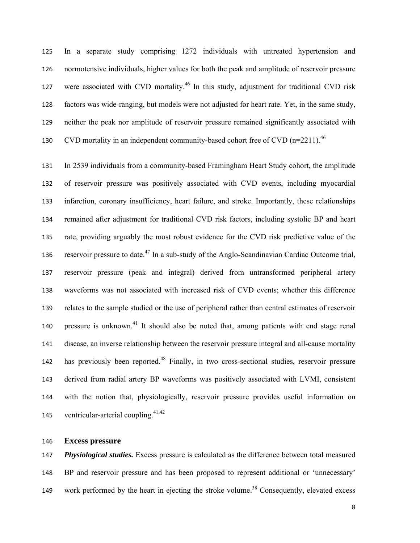In a separate study comprising 1272 individuals with untreated hypertension and normotensive individuals, higher values for both the peak and amplitude of reservoir pressure 127 were associated with CVD mortality.<sup>46</sup> In this study, adjustment for traditional CVD risk factors was wide-ranging, but models were not adjusted for heart rate. Yet, in the same study, neither the peak nor amplitude of reservoir pressure remained significantly associated with 130 CVD mortality in an independent community-based cohort free of CVD  $(n=2211)^{46}$ 

In 2539 individuals from a community-based Framingham Heart Study cohort, the amplitude of reservoir pressure was positively associated with CVD events, including myocardial infarction, coronary insufficiency, heart failure, and stroke. Importantly, these relationships remained after adjustment for traditional CVD risk factors, including systolic BP and heart rate, providing arguably the most robust evidence for the CVD risk predictive value of the 136 reservoir pressure to date.<sup>47</sup> In a sub-study of the Anglo-Scandinavian Cardiac Outcome trial, reservoir pressure (peak and integral) derived from untransformed peripheral artery waveforms was not associated with increased risk of CVD events; whether this difference relates to the sample studied or the use of peripheral rather than central estimates of reservoir 140 pressure is unknown.<sup>41</sup> It should also be noted that, among patients with end stage renal disease, an inverse relationship between the reservoir pressure integral and all-cause mortality has previously been reported.<sup>48</sup> Finally, in two cross-sectional studies, reservoir pressure derived from radial artery BP waveforms was positively associated with LVMI, consistent with the notion that, physiologically, reservoir pressure provides useful information on 145 ventricular-arterial coupling. $41,42$ 

### **Excess pressure**

*Physiological studies.* Excess pressure is calculated as the difference between total measured BP and reservoir pressure and has been proposed to represent additional or 'unnecessary' 149 work performed by the heart in ejecting the stroke volume.<sup>38</sup> Consequently, elevated excess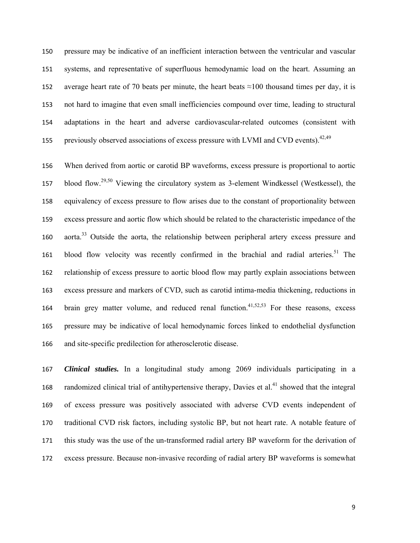pressure may be indicative of an inefficient interaction between the ventricular and vascular systems, and representative of superfluous hemodynamic load on the heart. Assuming an 152 average heart rate of 70 beats per minute, the heart beats  $\approx$ 100 thousand times per day, it is not hard to imagine that even small inefficiencies compound over time, leading to structural adaptations in the heart and adverse cardiovascular-related outcomes (consistent with 155 previously observed associations of excess pressure with LVMI and CVD events).<sup>42,49</sup>

When derived from aortic or carotid BP waveforms, excess pressure is proportional to aortic 157 blood flow.<sup>29,50</sup> Viewing the circulatory system as 3-element Windkessel (Westkessel), the equivalency of excess pressure to flow arises due to the constant of proportionality between excess pressure and aortic flow which should be related to the characteristic impedance of the 160 aorta.<sup>33</sup> Outside the aorta, the relationship between peripheral artery excess pressure and 161 blood flow velocity was recently confirmed in the brachial and radial arteries.<sup>51</sup> The relationship of excess pressure to aortic blood flow may partly explain associations between excess pressure and markers of CVD, such as carotid intima-media thickening, reductions in 164 brain grey matter volume, and reduced renal function.<sup>41,52,53</sup> For these reasons, excess pressure may be indicative of local hemodynamic forces linked to endothelial dysfunction and site-specific predilection for atherosclerotic disease.

*Clinical studies.* In a longitudinal study among 2069 individuals participating in a 168 randomized clinical trial of antihypertensive therapy, Davies et al.<sup>41</sup> showed that the integral of excess pressure was positively associated with adverse CVD events independent of traditional CVD risk factors, including systolic BP, but not heart rate. A notable feature of this study was the use of the un-transformed radial artery BP waveform for the derivation of excess pressure. Because non-invasive recording of radial artery BP waveforms is somewhat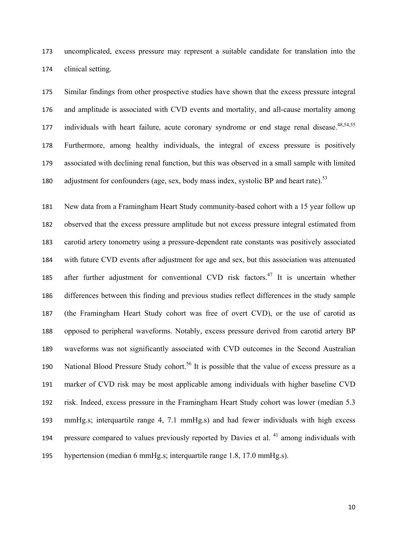uncomplicated, excess pressure may represent a suitable candidate for translation into the clinical setting.

Similar findings from other prospective studies have shown that the excess pressure integral and amplitude is associated with CVD events and mortality, and all-cause mortality among 177 individuals with heart failure, acute coronary syndrome or end stage renal disease.<sup>48,54,55</sup> Furthermore, among healthy individuals, the integral of excess pressure is positively associated with declining renal function, but this was observed in a small sample with limited adjustment for confounders (age, sex, body mass index, systolic BP and heart rate).<sup>53</sup>

New data from a Framingham Heart Study community-based cohort with a 15 year follow up observed that the excess pressure amplitude but not excess pressure integral estimated from carotid artery tonometry using a pressure-dependent rate constants was positively associated with future CVD events after adjustment for age and sex, but this association was attenuated 185 after further adjustment for conventional CVD risk factors.<sup>47</sup> It is uncertain whether differences between this finding and previous studies reflect differences in the study sample (the Framingham Heart Study cohort was free of overt CVD), or the use of carotid as opposed to peripheral waveforms. Notably, excess pressure derived from carotid artery BP waveforms was not significantly associated with CVD outcomes in the Second Australian 190 National Blood Pressure Study cohort.<sup>56</sup> It is possible that the value of excess pressure as a marker of CVD risk may be most applicable among individuals with higher baseline CVD risk. Indeed, excess pressure in the Framingham Heart Study cohort was lower (median 5.3 mmHg.s; interquartile range 4, 7.1 mmHg.s) and had fewer individuals with high excess 194 pressure compared to values previously reported by Davies et al. among individuals with hypertension (median 6 mmHg.s; interquartile range 1.8, 17.0 mmHg.s).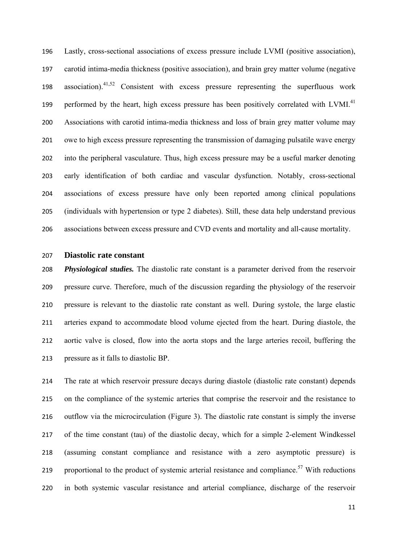Lastly, cross-sectional associations of excess pressure include LVMI (positive association), carotid intima-media thickness (positive association), and brain grey matter volume (negative 198 association).<sup>41,52</sup> Consistent with excess pressure representing the superfluous work 199 performed by the heart, high excess pressure has been positively correlated with LVMI.<sup>41</sup> Associations with carotid intima-media thickness and loss of brain grey matter volume may owe to high excess pressure representing the transmission of damaging pulsatile wave energy into the peripheral vasculature. Thus, high excess pressure may be a useful marker denoting early identification of both cardiac and vascular dysfunction. Notably, cross-sectional associations of excess pressure have only been reported among clinical populations (individuals with hypertension or type 2 diabetes). Still, these data help understand previous associations between excess pressure and CVD events and mortality and all-cause mortality.

#### **Diastolic rate constant**

*Physiological studies.* The diastolic rate constant is a parameter derived from the reservoir pressure curve. Therefore, much of the discussion regarding the physiology of the reservoir pressure is relevant to the diastolic rate constant as well. During systole, the large elastic arteries expand to accommodate blood volume ejected from the heart. During diastole, the aortic valve is closed, flow into the aorta stops and the large arteries recoil, buffering the pressure as it falls to diastolic BP.

The rate at which reservoir pressure decays during diastole (diastolic rate constant) depends on the compliance of the systemic arteries that comprise the reservoir and the resistance to outflow via the microcirculation (Figure 3). The diastolic rate constant is simply the inverse of the time constant (tau) of the diastolic decay, which for a simple 2-element Windkessel (assuming constant compliance and resistance with a zero asymptotic pressure) is 219 proportional to the product of systemic arterial resistance and compliance.<sup>57</sup> With reductions in both systemic vascular resistance and arterial compliance, discharge of the reservoir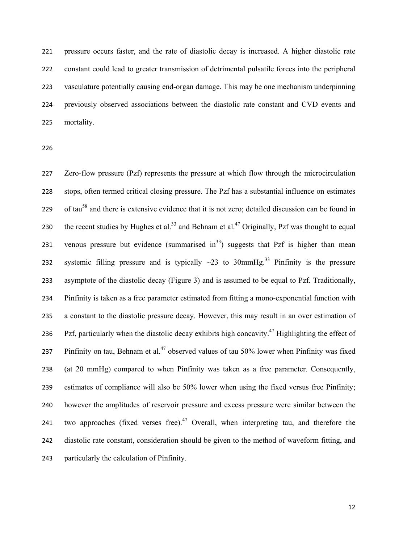pressure occurs faster, and the rate of diastolic decay is increased. A higher diastolic rate constant could lead to greater transmission of detrimental pulsatile forces into the peripheral vasculature potentially causing end-organ damage. This may be one mechanism underpinning previously observed associations between the diastolic rate constant and CVD events and mortality.

Zero-flow pressure (Pzf) represents the pressure at which flow through the microcirculation stops, often termed critical closing pressure. The Pzf has a substantial influence on estimates 229 of tau<sup>58</sup> and there is extensive evidence that it is not zero; detailed discussion can be found in the recent studies by Hughes et al.<sup>33</sup> and Behnam et al.<sup>47</sup> Originally, Pzf was thought to equal 231 venous pressure but evidence (summarised in<sup>33</sup>) suggests that Pzf is higher than mean 232 systemic filling pressure and is typically  $\sim$ 23 to 30mmHg.<sup>33</sup> Pinfinity is the pressure asymptote of the diastolic decay (Figure 3) and is assumed to be equal to Pzf. Traditionally, Pinfinity is taken as a free parameter estimated from fitting a mono-exponential function with a constant to the diastolic pressure decay. However, this may result in an over estimation of 236 Pzf, particularly when the diastolic decay exhibits high concavity.<sup>47</sup> Highlighting the effect of 237 Pinfinity on tau, Behnam et al.<sup>47</sup> observed values of tau 50% lower when Pinfinity was fixed (at 20 mmHg) compared to when Pinfinity was taken as a free parameter. Consequently, estimates of compliance will also be 50% lower when using the fixed versus free Pinfinity; however the amplitudes of reservoir pressure and excess pressure were similar between the 241 two approaches (fixed verses free). Overall, when interpreting tau, and therefore the diastolic rate constant, consideration should be given to the method of waveform fitting, and particularly the calculation of Pinfinity.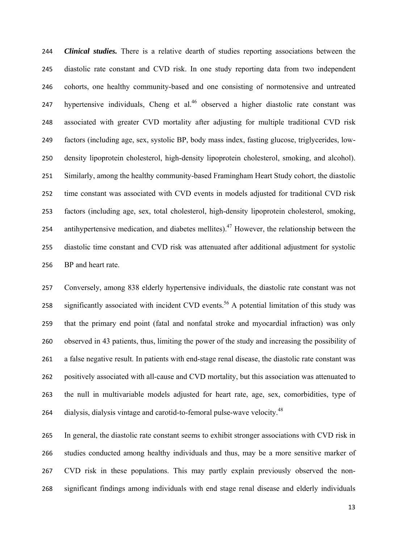*Clinical studies.* There is a relative dearth of studies reporting associations between the diastolic rate constant and CVD risk. In one study reporting data from two independent cohorts, one healthy community-based and one consisting of normotensive and untreated 247 hypertensive individuals, Cheng et al. observed a higher diastolic rate constant was associated with greater CVD mortality after adjusting for multiple traditional CVD risk factors (including age, sex, systolic BP, body mass index, fasting glucose, triglycerides, low-density lipoprotein cholesterol, high-density lipoprotein cholesterol, smoking, and alcohol). Similarly, among the healthy community-based Framingham Heart Study cohort, the diastolic time constant was associated with CVD events in models adjusted for traditional CVD risk factors (including age, sex, total cholesterol, high-density lipoprotein cholesterol, smoking, 254 antihypertensive medication, and diabetes mellites).<sup>47</sup> However, the relationship between the diastolic time constant and CVD risk was attenuated after additional adjustment for systolic BP and heart rate.

Conversely, among 838 elderly hypertensive individuals, the diastolic rate constant was not 258 significantly associated with incident CVD events.<sup>56</sup> A potential limitation of this study was that the primary end point (fatal and nonfatal stroke and myocardial infraction) was only observed in 43 patients, thus, limiting the power of the study and increasing the possibility of a false negative result. In patients with end-stage renal disease, the diastolic rate constant was positively associated with all-cause and CVD mortality, but this association was attenuated to the null in multivariable models adjusted for heart rate, age, sex, comorbidities, type of 264 dialysis, dialysis vintage and carotid-to-femoral pulse-wave velocity.<sup>48</sup>

In general, the diastolic rate constant seems to exhibit stronger associations with CVD risk in studies conducted among healthy individuals and thus, may be a more sensitive marker of CVD risk in these populations. This may partly explain previously observed the non-significant findings among individuals with end stage renal disease and elderly individuals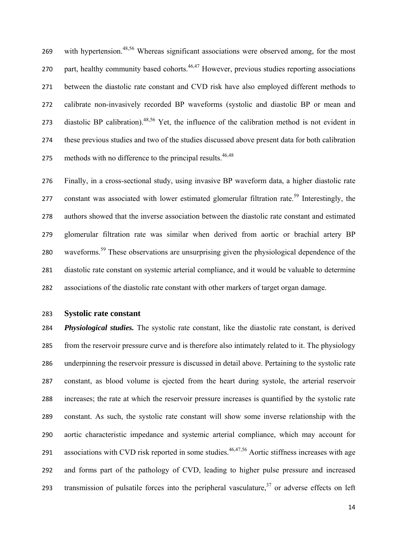269 with hypertension.<sup>48,56</sup> Whereas significant associations were observed among, for the most 270 part, healthy community based cohorts.<sup>46,47</sup> However, previous studies reporting associations between the diastolic rate constant and CVD risk have also employed different methods to calibrate non-invasively recorded BP waveforms (systolic and diastolic BP or mean and 273 diastolic BP calibration).<sup>48,56</sup> Yet, the influence of the calibration method is not evident in these previous studies and two of the studies discussed above present data for both calibration 275 methods with no difference to the principal results.  $46,48$ 

Finally, in a cross-sectional study, using invasive BP waveform data, a higher diastolic rate 277 constant was associated with lower estimated glomerular filtration rate.<sup>59</sup> Interestingly, the authors showed that the inverse association between the diastolic rate constant and estimated glomerular filtration rate was similar when derived from aortic or brachial artery BP 280 waveforms.<sup>59</sup> These observations are unsurprising given the physiological dependence of the diastolic rate constant on systemic arterial compliance, and it would be valuable to determine associations of the diastolic rate constant with other markers of target organ damage.

### **Systolic rate constant**

*Physiological studies.* The systolic rate constant, like the diastolic rate constant, is derived from the reservoir pressure curve and is therefore also intimately related to it. The physiology underpinning the reservoir pressure is discussed in detail above. Pertaining to the systolic rate constant, as blood volume is ejected from the heart during systole, the arterial reservoir increases; the rate at which the reservoir pressure increases is quantified by the systolic rate constant. As such, the systolic rate constant will show some inverse relationship with the aortic characteristic impedance and systemic arterial compliance, which may account for 291 associations with CVD risk reported in some studies.<sup>46,47,56</sup> Aortic stiffness increases with age and forms part of the pathology of CVD, leading to higher pulse pressure and increased transmission of pulsatile forces into the peripheral vasculature, or adverse effects on left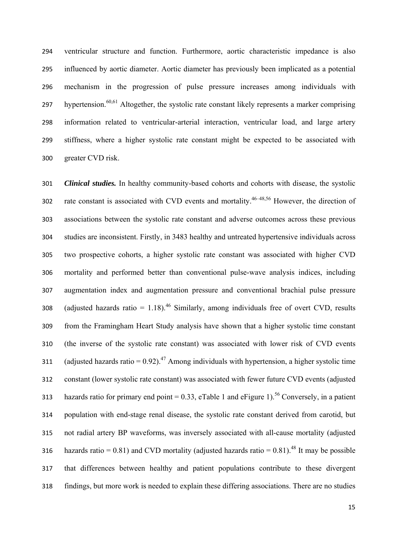ventricular structure and function. Furthermore, aortic characteristic impedance is also influenced by aortic diameter. Aortic diameter has previously been implicated as a potential mechanism in the progression of pulse pressure increases among individuals with hypertension.<sup>60,61</sup> Altogether, the systolic rate constant likely represents a marker comprising information related to ventricular-arterial interaction, ventricular load, and large artery stiffness, where a higher systolic rate constant might be expected to be associated with greater CVD risk.

*Clinical studies.* In healthy community-based cohorts and cohorts with disease, the systolic 302 rate constant is associated with CVD events and mortality.<sup>46–48,56</sup> However, the direction of associations between the systolic rate constant and adverse outcomes across these previous studies are inconsistent. Firstly, in 3483 healthy and untreated hypertensive individuals across two prospective cohorts, a higher systolic rate constant was associated with higher CVD mortality and performed better than conventional pulse-wave analysis indices, including augmentation index and augmentation pressure and conventional brachial pulse pressure 308 (adjusted hazards ratio =  $1.18$ ).<sup>46</sup> Similarly, among individuals free of overt CVD, results from the Framingham Heart Study analysis have shown that a higher systolic time constant (the inverse of the systolic rate constant) was associated with lower risk of CVD events 311 (adjusted hazards ratio =  $0.92$ ).<sup>47</sup> Among individuals with hypertension, a higher systolic time constant (lower systolic rate constant) was associated with fewer future CVD events (adjusted 313 hazards ratio for primary end point = 0.33, eTable 1 and eFigure 1).<sup>56</sup> Conversely, in a patient population with end-stage renal disease, the systolic rate constant derived from carotid, but not radial artery BP waveforms, was inversely associated with all-cause mortality (adjusted 316 hazards ratio = 0.81) and CVD mortality (adjusted hazards ratio = 0.81).<sup>48</sup> It may be possible that differences between healthy and patient populations contribute to these divergent findings, but more work is needed to explain these differing associations. There are no studies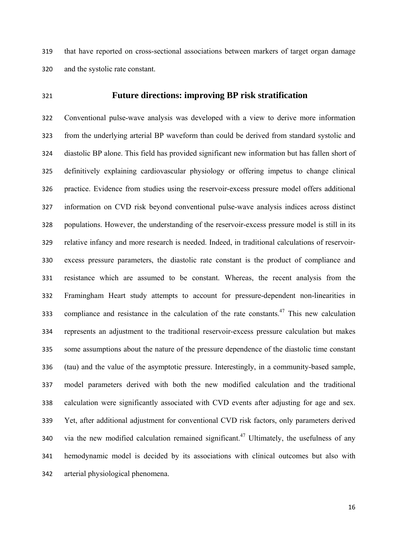that have reported on cross-sectional associations between markers of target organ damage and the systolic rate constant.

### **Future directions: improving BP risk stratification**

Conventional pulse-wave analysis was developed with a view to derive more information from the underlying arterial BP waveform than could be derived from standard systolic and diastolic BP alone. This field has provided significant new information but has fallen short of definitively explaining cardiovascular physiology or offering impetus to change clinical practice. Evidence from studies using the reservoir-excess pressure model offers additional information on CVD risk beyond conventional pulse-wave analysis indices across distinct populations. However, the understanding of the reservoir-excess pressure model is still in its relative infancy and more research is needed. Indeed, in traditional calculations of reservoir-excess pressure parameters, the diastolic rate constant is the product of compliance and resistance which are assumed to be constant. Whereas, the recent analysis from the Framingham Heart study attempts to account for pressure-dependent non-linearities in compliance and resistance in the calculation of the rate constants. This new calculation represents an adjustment to the traditional reservoir-excess pressure calculation but makes some assumptions about the nature of the pressure dependence of the diastolic time constant (tau) and the value of the asymptotic pressure. Interestingly, in a community-based sample, model parameters derived with both the new modified calculation and the traditional calculation were significantly associated with CVD events after adjusting for age and sex. Yet, after additional adjustment for conventional CVD risk factors, only parameters derived 340 via the new modified calculation remained significant.<sup>47</sup> Ultimately, the usefulness of any hemodynamic model is decided by its associations with clinical outcomes but also with arterial physiological phenomena.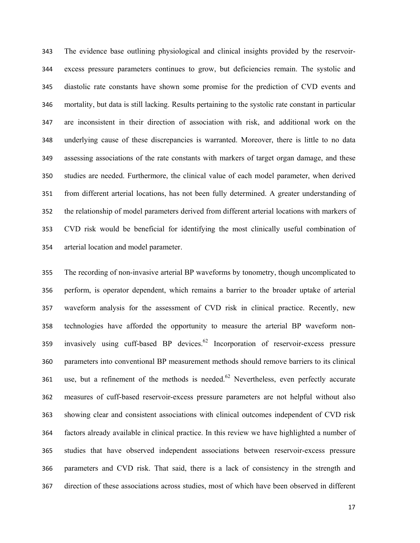The evidence base outlining physiological and clinical insights provided by the reservoir-excess pressure parameters continues to grow, but deficiencies remain. The systolic and diastolic rate constants have shown some promise for the prediction of CVD events and mortality, but data is still lacking. Results pertaining to the systolic rate constant in particular are inconsistent in their direction of association with risk, and additional work on the underlying cause of these discrepancies is warranted. Moreover, there is little to no data assessing associations of the rate constants with markers of target organ damage, and these studies are needed. Furthermore, the clinical value of each model parameter, when derived from different arterial locations, has not been fully determined. A greater understanding of the relationship of model parameters derived from different arterial locations with markers of CVD risk would be beneficial for identifying the most clinically useful combination of arterial location and model parameter.

The recording of non-invasive arterial BP waveforms by tonometry, though uncomplicated to perform, is operator dependent, which remains a barrier to the broader uptake of arterial waveform analysis for the assessment of CVD risk in clinical practice. Recently, new technologies have afforded the opportunity to measure the arterial BP waveform non-359 invasively using cuff-based BP devices. Incorporation of reservoir-excess pressure parameters into conventional BP measurement methods should remove barriers to its clinical 361 use, but a refinement of the methods is needed.<sup>62</sup> Nevertheless, even perfectly accurate measures of cuff-based reservoir-excess pressure parameters are not helpful without also showing clear and consistent associations with clinical outcomes independent of CVD risk factors already available in clinical practice. In this review we have highlighted a number of studies that have observed independent associations between reservoir-excess pressure parameters and CVD risk. That said, there is a lack of consistency in the strength and direction of these associations across studies, most of which have been observed in different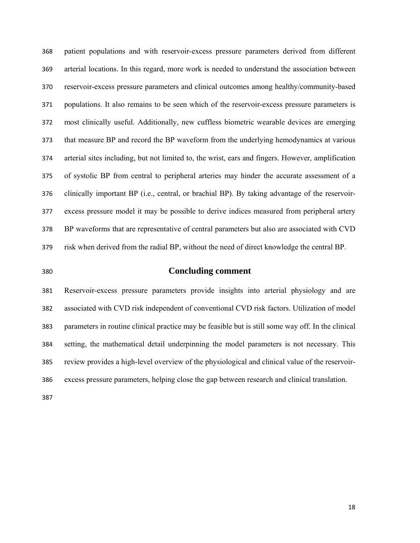patient populations and with reservoir-excess pressure parameters derived from different arterial locations. In this regard, more work is needed to understand the association between reservoir-excess pressure parameters and clinical outcomes among healthy/community-based populations. It also remains to be seen which of the reservoir-excess pressure parameters is most clinically useful. Additionally, new cuffless biometric wearable devices are emerging that measure BP and record the BP waveform from the underlying hemodynamics at various arterial sites including, but not limited to, the wrist, ears and fingers. However, amplification of systolic BP from central to peripheral arteries may hinder the accurate assessment of a clinically important BP (i.e., central, or brachial BP). By taking advantage of the reservoir-excess pressure model it may be possible to derive indices measured from peripheral artery BP waveforms that are representative of central parameters but also are associated with CVD risk when derived from the radial BP, without the need of direct knowledge the central BP.

### **Concluding comment**

Reservoir-excess pressure parameters provide insights into arterial physiology and are associated with CVD risk independent of conventional CVD risk factors. Utilization of model parameters in routine clinical practice may be feasible but is still some way off. In the clinical setting, the mathematical detail underpinning the model parameters is not necessary. This review provides a high-level overview of the physiological and clinical value of the reservoir-excess pressure parameters, helping close the gap between research and clinical translation.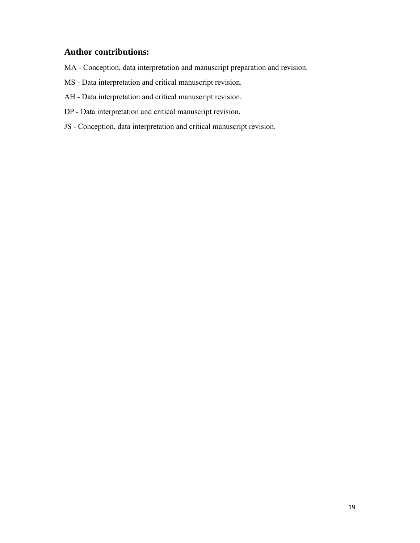# **Author contributions:**

- MA Conception, data interpretation and manuscript preparation and revision.
- MS Data interpretation and critical manuscript revision.
- AH Data interpretation and critical manuscript revision.
- DP Data interpretation and critical manuscript revision.
- JS Conception, data interpretation and critical manuscript revision.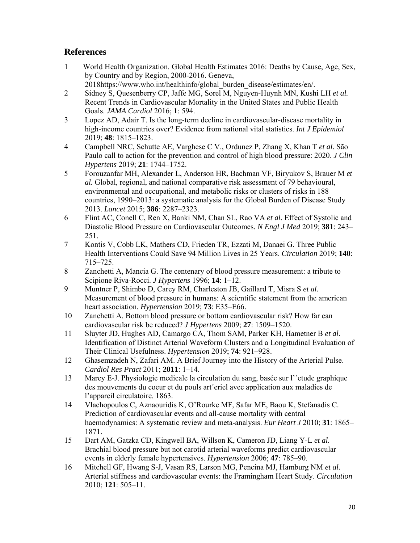# **References**

- 1 World Health Organization. Global Health Estimates 2016: Deaths by Cause, Age, Sex, by Country and by Region, 2000-2016. Geneva, 2018https://www.who.int/healthinfo/global\_burden\_disease/estimates/en/.
- 2 Sidney S, Quesenberry CP, Jaffe MG, Sorel M, Nguyen-Huynh MN, Kushi LH *et al.* Recent Trends in Cardiovascular Mortality in the United States and Public Health Goals. *JAMA Cardiol* 2016; **1**: 594.
- 3 Lopez AD, Adair T. Is the long-term decline in cardiovascular-disease mortality in high-income countries over? Evidence from national vital statistics. *Int J Epidemiol* 2019; **48**: 1815–1823.
- 4 Campbell NRC, Schutte AE, Varghese C V., Ordunez P, Zhang X, Khan T *et al.* São Paulo call to action for the prevention and control of high blood pressure: 2020. *J Clin Hypertens* 2019; **21**: 1744–1752.
- 5 Forouzanfar MH, Alexander L, Anderson HR, Bachman VF, Biryukov S, Brauer M *et al.* Global, regional, and national comparative risk assessment of 79 behavioural, environmental and occupational, and metabolic risks or clusters of risks in 188 countries, 1990–2013: a systematic analysis for the Global Burden of Disease Study 2013. *Lancet* 2015; **386**: 2287–2323.
- 6 Flint AC, Conell C, Ren X, Banki NM, Chan SL, Rao VA *et al.* Effect of Systolic and Diastolic Blood Pressure on Cardiovascular Outcomes. *N Engl J Med* 2019; **381**: 243– 251.
- 7 Kontis V, Cobb LK, Mathers CD, Frieden TR, Ezzati M, Danaei G. Three Public Health Interventions Could Save 94 Million Lives in 25 Years. *Circulation* 2019; **140**: 715–725.
- 8 Zanchetti A, Mancia G. The centenary of blood pressure measurement: a tribute to Scipione Riva-Rocci. *J Hypertens* 1996; **14**: 1–12.
- 9 Muntner P, Shimbo D, Carey RM, Charleston JB, Gaillard T, Misra S *et al.* Measurement of blood pressure in humans: A scientific statement from the american heart association. *Hypertension* 2019; **73**: E35–E66.
- 10 Zanchetti A. Bottom blood pressure or bottom cardiovascular risk? How far can cardiovascular risk be reduced? *J Hypertens* 2009; **27**: 1509–1520.
- 11 Sluyter JD, Hughes AD, Camargo CA, Thom SAM, Parker KH, Hametner B *et al.* Identification of Distinct Arterial Waveform Clusters and a Longitudinal Evaluation of Their Clinical Usefulness. *Hypertension* 2019; **74**: 921–928.
- 12 Ghasemzadeh N, Zafari AM. A Brief Journey into the History of the Arterial Pulse. *Cardiol Res Pract* 2011; **2011**: 1–14.
- 13 Marey E-J. Physiologie medicale la circulation du sang, basée sur l'´etude graphique des mouvements du coeur et du pouls art´eriel avec application aux maladies de l'appareil circulatoire. 1863.
- 14 Vlachopoulos C, Aznaouridis K, O'Rourke MF, Safar ME, Baou K, Stefanadis C. Prediction of cardiovascular events and all-cause mortality with central haemodynamics: A systematic review and meta-analysis. *Eur Heart J* 2010; **31**: 1865– 1871.
- 15 Dart AM, Gatzka CD, Kingwell BA, Willson K, Cameron JD, Liang Y-L *et al.* Brachial blood pressure but not carotid arterial waveforms predict cardiovascular events in elderly female hypertensives. *Hypertension* 2006; **47**: 785–90.
- 16 Mitchell GF, Hwang S-J, Vasan RS, Larson MG, Pencina MJ, Hamburg NM *et al.* Arterial stiffness and cardiovascular events: the Framingham Heart Study. *Circulation* 2010; **121**: 505–11.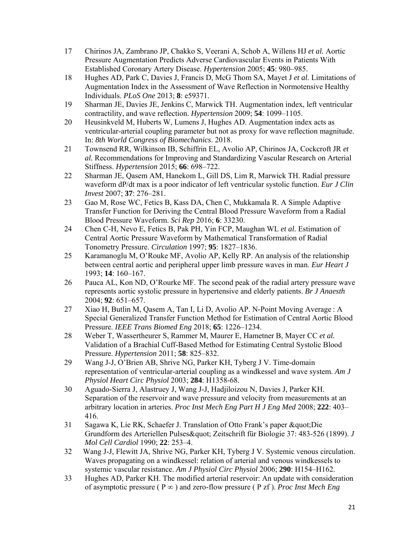- 17 Chirinos JA, Zambrano JP, Chakko S, Veerani A, Schob A, Willens HJ *et al.* Aortic Pressure Augmentation Predicts Adverse Cardiovascular Events in Patients With Established Coronary Artery Disease. *Hypertension* 2005; **45**: 980–985.
- 18 Hughes AD, Park C, Davies J, Francis D, McG Thom SA, Mayet J *et al.* Limitations of Augmentation Index in the Assessment of Wave Reflection in Normotensive Healthy Individuals. *PLoS One* 2013; **8**: e59371.
- 19 Sharman JE, Davies JE, Jenkins C, Marwick TH. Augmentation index, left ventricular contractility, and wave reflection. *Hypertension* 2009; **54**: 1099–1105.
- 20 Heusinkveld M, Huberts W, Lumens J, Hughes AD. Augmentation index acts as ventricular-arterial coupling parameter but not as proxy for wave reflection magnitude. In: *8th World Congress of Biomechanics*. 2018.
- 21 Townsend RR, Wilkinson IB, Schiffrin EL, Avolio AP, Chirinos JA, Cockcroft JR *et al.* Recommendations for Improving and Standardizing Vascular Research on Arterial Stiffness. *Hypertension* 2015; **66**: 698–722.
- 22 Sharman JE, Qasem AM, Hanekom L, Gill DS, Lim R, Marwick TH. Radial pressure waveform dP/dt max is a poor indicator of left ventricular systolic function. *Eur J Clin Invest* 2007; **37**: 276–281.
- 23 Gao M, Rose WC, Fetics B, Kass DA, Chen C, Mukkamala R. A Simple Adaptive Transfer Function for Deriving the Central Blood Pressure Waveform from a Radial Blood Pressure Waveform. *Sci Rep* 2016; **6**: 33230.
- 24 Chen C-H, Nevo E, Fetics B, Pak PH, Yin FCP, Maughan WL *et al.* Estimation of Central Aortic Pressure Waveform by Mathematical Transformation of Radial Tonometry Pressure. *Circulation* 1997; **95**: 1827–1836.
- 25 Karamanoglu M, O'Rouke MF, Avolio AP, Kelly RP. An analysis of the relationship between central aortic and peripheral upper limb pressure waves in man. *Eur Heart J* 1993; **14**: 160–167.
- 26 Pauca AL, Kon ND, O'Rourke MF. The second peak of the radial artery pressure wave represents aortic systolic pressure in hypertensive and elderly patients. *Br J Anaesth* 2004; **92**: 651–657.
- 27 Xiao H, Butlin M, Qasem A, Tan I, Li D, Avolio AP. N-Point Moving Average : A Special Generalized Transfer Function Method for Estimation of Central Aortic Blood Pressure. *IEEE Trans Biomed Eng* 2018; **65**: 1226–1234.
- 28 Weber T, Wassertheurer S, Rammer M, Maurer E, Hametner B, Mayer CC *et al.* Validation of a Brachial Cuff-Based Method for Estimating Central Systolic Blood Pressure. *Hypertension* 2011; **58**: 825–832.
- 29 Wang J-J, O'Brien AB, Shrive NG, Parker KH, Tyberg J V. Time-domain representation of ventricular-arterial coupling as a windkessel and wave system. *Am J Physiol Heart Circ Physiol* 2003; **284**: H1358-68.
- 30 Aguado-Sierra J, Alastruey J, Wang J-J, Hadjiloizou N, Davies J, Parker KH. Separation of the reservoir and wave pressure and velocity from measurements at an arbitrary location in arteries. *Proc Inst Mech Eng Part H J Eng Med* 2008; **222**: 403– 416.
- 31 Sagawa K, Lie RK, Schaefer J. Translation of Otto Frank's paper & quot: Die Grundform des Arteriellen Pulses " Zeitschrift für Biologie 37: 483-526 (1899). *J Mol Cell Cardiol* 1990; **22**: 253–4.
- 32 Wang J-J, Flewitt JA, Shrive NG, Parker KH, Tyberg J V. Systemic venous circulation. Waves propagating on a windkessel: relation of arterial and venous windkessels to systemic vascular resistance. *Am J Physiol Circ Physiol* 2006; **290**: H154–H162.
- 33 Hughes AD, Parker KH. The modified arterial reservoir: An update with consideration of asymptotic pressure ( $P \infty$ ) and zero-flow pressure ( $P zf$ ). *Proc Inst Mech Eng*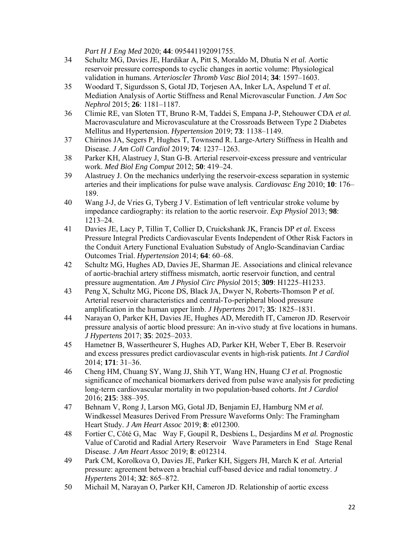*Part H J Eng Med* 2020; **44**: 095441192091755.

- 34 Schultz MG, Davies JE, Hardikar A, Pitt S, Moraldo M, Dhutia N *et al.* Aortic reservoir pressure corresponds to cyclic changes in aortic volume: Physiological validation in humans. *Arterioscler Thromb Vasc Biol* 2014; **34**: 1597–1603.
- 35 Woodard T, Sigurdsson S, Gotal JD, Torjesen AA, Inker LA, Aspelund T *et al.* Mediation Analysis of Aortic Stiffness and Renal Microvascular Function. *J Am Soc Nephrol* 2015; **26**: 1181–1187.
- 36 Climie RE, van Sloten TT, Bruno R-M, Taddei S, Empana J-P, Stehouwer CDA *et al.* Macrovasculature and Microvasculature at the Crossroads Between Type 2 Diabetes Mellitus and Hypertension. *Hypertension* 2019; **73**: 1138–1149.
- 37 Chirinos JA, Segers P, Hughes T, Townsend R. Large-Artery Stiffness in Health and Disease. *J Am Coll Cardiol* 2019; **74**: 1237–1263.
- 38 Parker KH, Alastruey J, Stan G-B. Arterial reservoir-excess pressure and ventricular work. *Med Biol Eng Comput* 2012; **50**: 419–24.
- 39 Alastruey J. On the mechanics underlying the reservoir-excess separation in systemic arteries and their implications for pulse wave analysis. *Cardiovasc Eng* 2010; **10**: 176– 189.
- 40 Wang J-J, de Vries G, Tyberg J V. Estimation of left ventricular stroke volume by impedance cardiography: its relation to the aortic reservoir. *Exp Physiol* 2013; **98**: 1213–24.
- 41 Davies JE, Lacy P, Tillin T, Collier D, Cruickshank JK, Francis DP *et al.* Excess Pressure Integral Predicts Cardiovascular Events Independent of Other Risk Factors in the Conduit Artery Functional Evaluation Substudy of Anglo-Scandinavian Cardiac Outcomes Trial. *Hypertension* 2014; **64**: 60–68.
- 42 Schultz MG, Hughes AD, Davies JE, Sharman JE. Associations and clinical relevance of aortic-brachial artery stiffness mismatch, aortic reservoir function, and central pressure augmentation. *Am J Physiol Circ Physiol* 2015; **309**: H1225–H1233.
- 43 Peng X, Schultz MG, Picone DS, Black JA, Dwyer N, Roberts-Thomson P *et al.* Arterial reservoir characteristics and central-To-peripheral blood pressure amplification in the human upper limb. *J Hypertens* 2017; **35**: 1825–1831.
- 44 Narayan O, Parker KH, Davies JE, Hughes AD, Meredith IT, Cameron JD. Reservoir pressure analysis of aortic blood pressure: An in-vivo study at five locations in humans. *J Hypertens* 2017; **35**: 2025–2033.
- 45 Hametner B, Wassertheurer S, Hughes AD, Parker KH, Weber T, Eber B. Reservoir and excess pressures predict cardiovascular events in high-risk patients. *Int J Cardiol* 2014; **171**: 31–36.
- 46 Cheng HM, Chuang SY, Wang JJ, Shih YT, Wang HN, Huang CJ *et al.* Prognostic significance of mechanical biomarkers derived from pulse wave analysis for predicting long-term cardiovascular mortality in two population-based cohorts. *Int J Cardiol* 2016; **215**: 388–395.
- 47 Behnam V, Rong J, Larson MG, Gotal JD, Benjamin EJ, Hamburg NM *et al.* Windkessel Measures Derived From Pressure Waveforms Only: The Framingham Heart Study. *J Am Heart Assoc* 2019; **8**: e012300.
- 48 Fortier C, Côté G, MacWay F, Goupil R, Desbiens L, Desjardins M *et al.* Prognostic Value of Carotid and Radial Artery Reservoir Wave Parameters in End Stage Renal Disease. *J Am Heart Assoc* 2019; **8**: e012314.
- 49 Park CM, Korolkova O, Davies JE, Parker KH, Siggers JH, March K *et al.* Arterial pressure: agreement between a brachial cuff-based device and radial tonometry. *J Hypertens* 2014; **32**: 865–872.
- 50 Michail M, Narayan O, Parker KH, Cameron JD. Relationship of aortic excess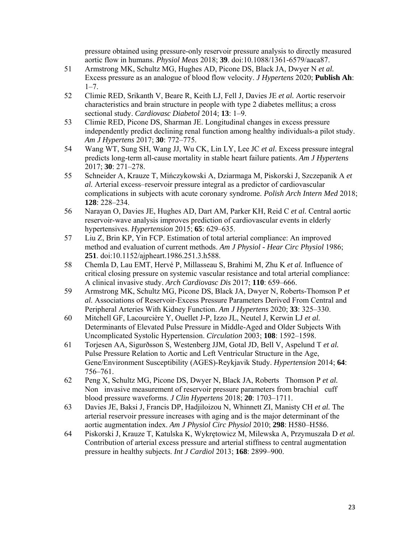pressure obtained using pressure-only reservoir pressure analysis to directly measured aortic flow in humans. *Physiol Meas* 2018; **39**. doi:10.1088/1361-6579/aaca87.

- 51 Armstrong MK, Schultz MG, Hughes AD, Picone DS, Black JA, Dwyer N *et al.* Excess pressure as an analogue of blood flow velocity. *J Hypertens* 2020; **Publish Ah**:  $1 - 7$ .
- 52 Climie RED, Srikanth V, Beare R, Keith LJ, Fell J, Davies JE *et al.* Aortic reservoir characteristics and brain structure in people with type 2 diabetes mellitus; a cross sectional study. *Cardiovasc Diabetol* 2014; **13**: 1–9.
- 53 Climie RED, Picone DS, Sharman JE. Longitudinal changes in excess pressure independently predict declining renal function among healthy individuals-a pilot study. *Am J Hypertens* 2017; **30**: 772–775.
- 54 Wang WT, Sung SH, Wang JJ, Wu CK, Lin LY, Lee JC *et al.* Excess pressure integral predicts long-term all-cause mortality in stable heart failure patients. *Am J Hypertens* 2017; **30**: 271–278.
- 55 Schneider A, Krauze T, Mińczykowski A, Dziarmaga M, Piskorski J, Szczepanik A *et al.* Arterial excess–reservoir pressure integral as a predictor of cardiovascular complications in subjects with acute coronary syndrome. *Polish Arch Intern Med* 2018; **128**: 228–234.
- 56 Narayan O, Davies JE, Hughes AD, Dart AM, Parker KH, Reid C *et al.* Central aortic reservoir-wave analysis improves prediction of cardiovascular events in elderly hypertensives. *Hypertension* 2015; **65**: 629–635.
- 57 Liu Z, Brin KP, Yin FCP. Estimation of total arterial compliance: An improved method and evaluation of current methods. *Am J Physiol - Hear Circ Physiol* 1986; **251**. doi:10.1152/ajpheart.1986.251.3.h588.
- 58 Chemla D, Lau EMT, Hervé P, Millasseau S, Brahimi M, Zhu K *et al.* Influence of critical closing pressure on systemic vascular resistance and total arterial compliance: A clinical invasive study. *Arch Cardiovasc Dis* 2017; **110**: 659–666.
- 59 Armstrong MK, Schultz MG, Picone DS, Black JA, Dwyer N, Roberts-Thomson P *et al.* Associations of Reservoir-Excess Pressure Parameters Derived From Central and Peripheral Arteries With Kidney Function. *Am J Hypertens* 2020; **33**: 325–330.
- 60 Mitchell GF, Lacourcière Y, Ouellet J-P, Izzo JL, Neutel J, Kerwin LJ *et al.* Determinants of Elevated Pulse Pressure in Middle-Aged and Older Subjects With Uncomplicated Systolic Hypertension. *Circulation* 2003; **108**: 1592–1598.
- 61 Torjesen AA, Sigurðsson S, Westenberg JJM, Gotal JD, Bell V, Aspelund T *et al.* Pulse Pressure Relation to Aortic and Left Ventricular Structure in the Age, Gene/Environment Susceptibility (AGES)-Reykjavik Study. *Hypertension* 2014; **64**: 756–761.
- 62 Peng X, Schultz MG, Picone DS, Dwyer N, Black JA, Roberts Thomson P et al. Non invasive measurement of reservoir pressure parameters from brachial cuff blood pressure waveforms. *J Clin Hypertens* 2018; **20**: 1703–1711.
- 63 Davies JE, Baksi J, Francis DP, Hadjiloizou N, Whinnett ZI, Manisty CH *et al.* The arterial reservoir pressure increases with aging and is the major determinant of the aortic augmentation index. *Am J Physiol Circ Physiol* 2010; **298**: H580–H586.
- 64 Piskorski J, Krauze T, Katulska K, Wykrętowicz M, Milewska A, Przymuszała D *et al.* Contribution of arterial excess pressure and arterial stiffness to central augmentation pressure in healthy subjects. *Int J Cardiol* 2013; **168**: 2899–900.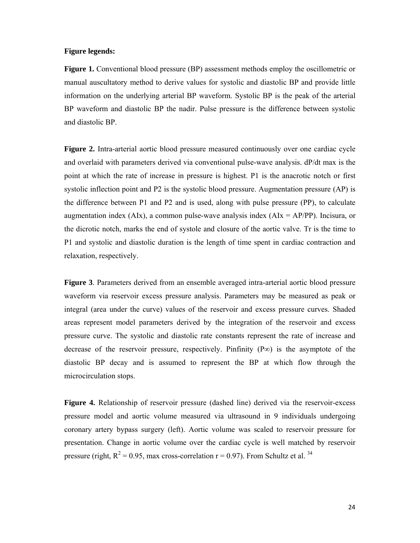#### **Figure legends:**

**Figure 1.** Conventional blood pressure (BP) assessment methods employ the oscillometric or manual auscultatory method to derive values for systolic and diastolic BP and provide little information on the underlying arterial BP waveform. Systolic BP is the peak of the arterial BP waveform and diastolic BP the nadir. Pulse pressure is the difference between systolic and diastolic BP.

**Figure 2.** Intra-arterial aortic blood pressure measured continuously over one cardiac cycle and overlaid with parameters derived via conventional pulse-wave analysis. dP/dt max is the point at which the rate of increase in pressure is highest. P1 is the anacrotic notch or first systolic inflection point and P2 is the systolic blood pressure. Augmentation pressure (AP) is the difference between P1 and P2 and is used, along with pulse pressure (PP), to calculate augmentation index (AIx), a common pulse-wave analysis index (AIx = AP/PP). Incisura, or the dicrotic notch, marks the end of systole and closure of the aortic valve. Tr is the time to P1 and systolic and diastolic duration is the length of time spent in cardiac contraction and relaxation, respectively.

**Figure 3**. Parameters derived from an ensemble averaged intra-arterial aortic blood pressure waveform via reservoir excess pressure analysis. Parameters may be measured as peak or integral (area under the curve) values of the reservoir and excess pressure curves. Shaded areas represent model parameters derived by the integration of the reservoir and excess pressure curve. The systolic and diastolic rate constants represent the rate of increase and decrease of the reservoir pressure, respectively. Pinfinity ( $P\infty$ ) is the asymptote of the diastolic BP decay and is assumed to represent the BP at which flow through the microcirculation stops.

**Figure 4.** Relationship of reservoir pressure (dashed line) derived via the reservoir-excess pressure model and aortic volume measured via ultrasound in 9 individuals undergoing coronary artery bypass surgery (left). Aortic volume was scaled to reservoir pressure for presentation. Change in aortic volume over the cardiac cycle is well matched by reservoir pressure (right,  $R^2 = 0.95$ , max cross-correlation r = 0.97). From Schultz et al. <sup>34</sup>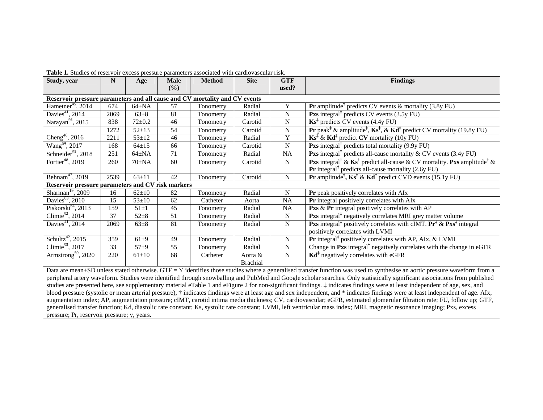| Table 1. Studies of reservoir excess pressure parameters associated with cardiovascular risk.                                                                                        |      |              |                    |               |                 |                     |                                                                                                                                                                              |
|--------------------------------------------------------------------------------------------------------------------------------------------------------------------------------------|------|--------------|--------------------|---------------|-----------------|---------------------|------------------------------------------------------------------------------------------------------------------------------------------------------------------------------|
| Study, year                                                                                                                                                                          | N    | Age          | <b>Male</b><br>(%) | <b>Method</b> | <b>Site</b>     | <b>GTF</b><br>used? | <b>Findings</b>                                                                                                                                                              |
| Reservoir pressure parameters and all cause and CV mortality and CV events                                                                                                           |      |              |                    |               |                 |                     |                                                                                                                                                                              |
| Hametner <sup>45</sup> , 2014                                                                                                                                                        | 674  | $64\pm NA$   | 57                 | Tonometry     | Radial          | Y                   | <b>Pr</b> amplitude <sup><math>\ddagger</math></sup> predicts CV events & mortality (3.8y FU)                                                                                |
| Davies <sup>41</sup> , 2014                                                                                                                                                          | 2069 | $63 \pm 8$   | 81                 | Tonometry     | Radial          | N                   | <b>Pxs</b> integral <sup>‡</sup> predicts CV events $(3.5y FU)$                                                                                                              |
| Narayan <sup>56</sup> , 2015                                                                                                                                                         | 838  | $72 \pm 0.2$ | 46                 | Tonometry     | Carotid         | N                   | $\mathbf{Ks}^{\ddagger}$ predicts CV events (4.4y FU)                                                                                                                        |
|                                                                                                                                                                                      | 1272 | $52 \pm 13$  | $\overline{54}$    | Tonometry     | Carotid         | N                   | <b>Pr</b> peak <sup>‡</sup> & amplitude <sup>‡</sup> , $\mathbf{Ks}^{\ddagger}$ , & $\mathbf{Kd}^{\ddagger}$ predict CV mortality (19.8y FU)                                 |
| Cheng <sup>46</sup> , 2016                                                                                                                                                           | 2211 | $53 \pm 12$  | 46                 | Tonometry     | Radial          | Y                   | $\mathbf{K} \mathbf{s}^{\ddagger} \& \mathbf{K} \mathbf{d}^{\ddagger}$ predict CV mortality (10y FU)                                                                         |
| Wang <sup>54</sup> , 2017                                                                                                                                                            | 168  | $64 \pm 15$  | 66                 | Tonometry     | Carotid         | N                   | <b>Pxs</b> integral <sup><math>\dagger</math></sup> predicts total mortality (9.9y FU)                                                                                       |
| Schneider <sup>55</sup> , 2018                                                                                                                                                       | 251  | $64 \pm NA$  | 71                 | Tonometry     | Radial          | NA                  | <b>Pxs</b> integral <sup><math>\degree</math></sup> predicts all-cause mortality & CV events (3.4y FU)                                                                       |
| Fortier <sup>48</sup> , 2019                                                                                                                                                         | 260  | $70\pm NA$   | 60                 | Tonometry     | Carotid         | N                   | <b>Pxs</b> integral <sup>†</sup> & $\mathbf{Ks}^{\dagger}$ predict all-cause & CV mortality. Pxs amplitude <sup>†</sup> &                                                    |
|                                                                                                                                                                                      |      |              |                    |               |                 |                     | <b>Pr</b> integral <sup><math>\dagger</math></sup> predicts all-cause mortality (2.6y FU)                                                                                    |
| Behnam <sup>47</sup> , 2019                                                                                                                                                          | 2539 | $63 \pm 11$  | 42                 | Tonometry     | Carotid         | ${\bf N}$           | <b>Pr</b> amplitude <sup><math>\ddagger</math></sup> , <b>Ks</b> <sup><math>\ddagger</math></sup> & <b>Kd</b> <sup><math>\ddagger</math></sup> predict CVD events (15.1y FU) |
| Reservoir pressure parameters and CV risk markers                                                                                                                                    |      |              |                    |               |                 |                     |                                                                                                                                                                              |
| Sharman <sup>19</sup> , 2009                                                                                                                                                         | 16   | $62 \pm 10$  | 82                 | Tonometry     | Radial          | N                   | Pr peak positively correlates with AIx                                                                                                                                       |
| Davies <sup>63</sup> , 2010                                                                                                                                                          | 15   | $53 \pm 10$  | 62                 | Catheter      | Aorta           | $\rm NA$            | Pr integral positively correlates with AIx                                                                                                                                   |
| Piskorski $^{64}$ , 2013                                                                                                                                                             | 159  | $51 \pm 1$   | 45                 | Tonometry     | Radial          | NA                  | <b>Pxs &amp; Pr</b> integral positively correlates with AP                                                                                                                   |
| Climie <sup>52</sup> , 2014                                                                                                                                                          | 37   | $52 + 8$     | 51                 | Tonometry     | Radial          | N                   | <b>Pxs</b> integral <sup>‡</sup> negatively correlates MRI grey matter volume                                                                                                |
| Davies <sup>41</sup> , 2014                                                                                                                                                          | 2069 | $63+8$       | 81                 | Tonometry     | Radial          | $\mathbf N$         | <b>Pxs</b> integral <sup>‡</sup> positively correlates with cIMT. $Pr^{\ddagger} \& Prs^{\ddagger}$ integral                                                                 |
|                                                                                                                                                                                      |      |              |                    |               |                 |                     | positively correlates with LVMI                                                                                                                                              |
| Schultz <sup>42</sup> , 2015                                                                                                                                                         | 359  | $61+9$       | 49                 | Tonometry     | Radial          | N                   | <b>Pr</b> integral <sup><math>\ddagger</math></sup> positively correlates with AP, AIx, & LVMI                                                                               |
| Climie <sup>53</sup> , 2017                                                                                                                                                          | 33   | $57 + 9$     | 55                 | Tonometry     | Radial          | N                   | Change in Pxs integral <sup>*</sup> negatively correlates with the change in eGFR                                                                                            |
| Armstrong <sup>59</sup> , 2020                                                                                                                                                       | 220  | $61 \pm 10$  | 68                 | Catheter      | Aorta &         | ${\bf N}$           | $\mathbf{Kd}^{\ddagger}$ negatively correlates with eGFR                                                                                                                     |
|                                                                                                                                                                                      |      |              |                    |               | <b>Brachial</b> |                     |                                                                                                                                                                              |
| Data are mean±SD unless stated otherwise. GTF = Y identifies those studies where a generalised transfer function was used to synthesise an aortic pressure waveform from a           |      |              |                    |               |                 |                     |                                                                                                                                                                              |
| peripheral artery waveform. Studies were identified through snowballing and PubMed and Google scholar searches. Only statistically significant associations from published           |      |              |                    |               |                 |                     |                                                                                                                                                                              |
| studies are presented here, see supplementary material eTable 1 and eFigure 2 for non-significant findings. $\ddagger$ indicates findings were at least independent of age, sex, and |      |              |                    |               |                 |                     |                                                                                                                                                                              |

blood pressure (systolic or mean arterial pressure), † indicates findings were at least age and sex independent, and \* indicates findings were at least independent of age. AIx, augmentation index; AP, augmentation pressure; cIMT, carotid intima media thickness; CV, cardiovascular; eGFR, estimated glomerular filtration rate; FU, follow up; GTF, generalised transfer function; Kd, diastolic rate constant; Ks, systolic rate constant; LVMI, left ventricular mass index; MRI, magnetic resonance imaging; Pxs, excess pressure; Pr, reservoir pressure; y, years.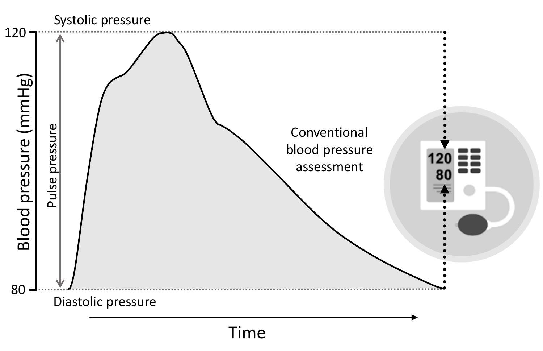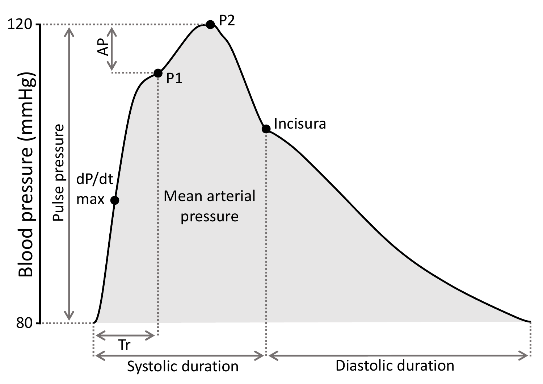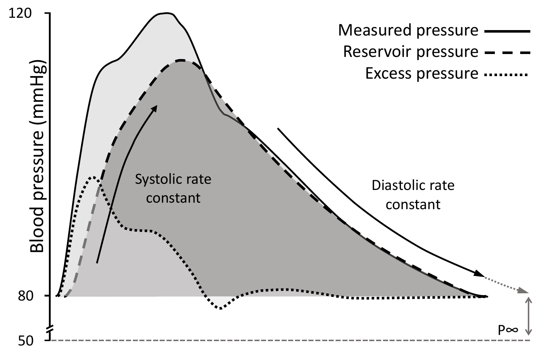